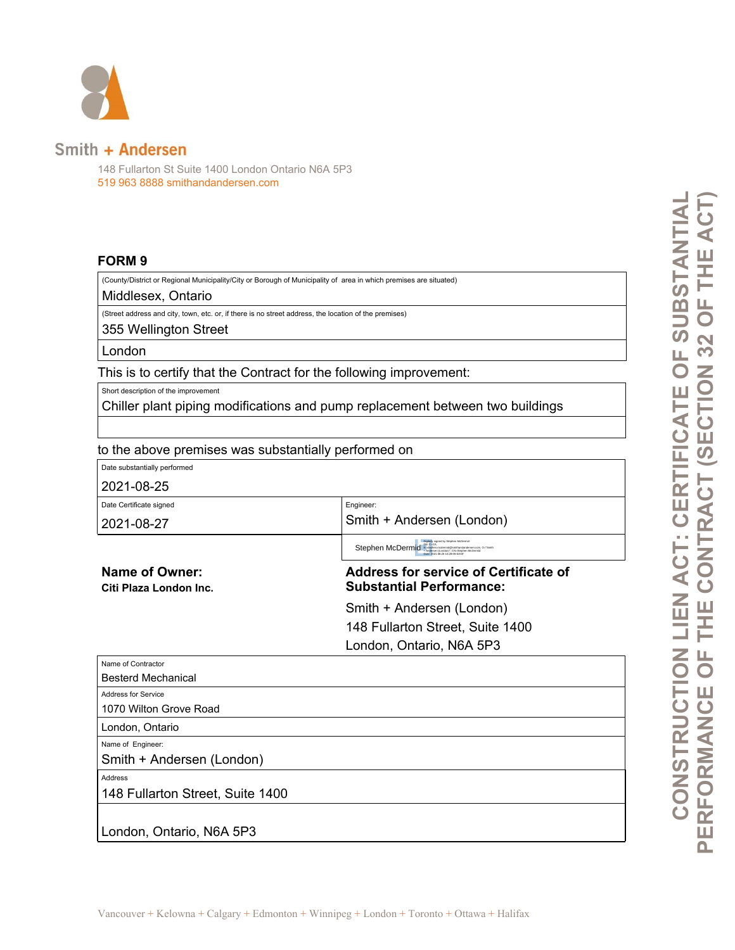

## Smith + Andersen

148 Fullarton St Suite 1400 London Ontario N6A 5P3 519 963 8888 smithandandersen.com

## **FORM 9**

(County/District or Regional Municipality/City or Borough of Municipality of area in which premises are situated)

Middlesex, Ontario

(Street address and city, town, etc. or, if there is no street address, the location of the premises) 355 Wellington Street

London

This is to certify that the Contract for the following improvement:

Short description of the improvement

Chiller plant piping modifications and pump replacement between two buildings

Engineer:

to the above premises was substantially performed on

Date substantially performed

2021-08-25

Date Certificate signed

2021-08-27

Smith + Andersen (London) Stephen McDermid<sup>BN: C</sup>eCA, and provide the State McDermid<br>Digital Computer Stephen McDermid<br>Date: 2021.08.26:05-04'00' , CN=Stephen McDermid

**Name of Owner: Citi Plaza London Inc.**  **Address for service of Certificate of Substantial Performance:**

Smith + Andersen (London) 148 Fullarton Street, Suite 1400

London, Ontario, N6A 5P3

| Name of Contractor               |
|----------------------------------|
| <b>Besterd Mechanical</b>        |
| <b>Address for Service</b>       |
| 1070 Wilton Grove Road           |
| London, Ontario                  |
| Name of Engineer:                |
| Smith + Andersen (London)        |
| <b>Address</b>                   |
| 148 Fullarton Street, Suite 1400 |
|                                  |
| London, Ontario, N6A 5P3         |